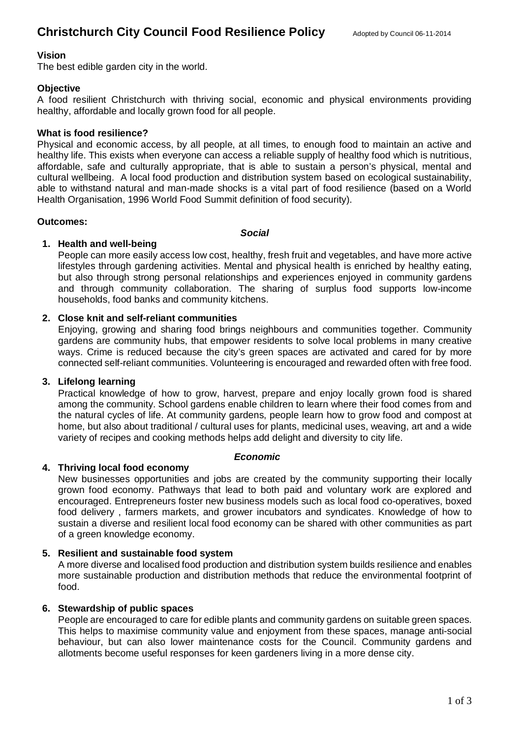# **Vision**

The best edible garden city in the world.

# **Objective**

A food resilient Christchurch with thriving social, economic and physical environments providing healthy, affordable and locally grown food for all people.

## **What is food resilience?**

Physical and economic access, by all people, at all times, to enough food to maintain an active and healthy life. This exists when everyone can access a reliable supply of healthy food which is nutritious, affordable, safe and culturally appropriate, that is able to sustain a person's physical, mental and cultural wellbeing. A local food production and distribution system based on ecological sustainability, able to withstand natural and man-made shocks is a vital part of food resilience (based on a World Health Organisation, 1996 World Food Summit definition of food security).

## **Outcomes:**

#### *Social*

# **1. Health and well-being**

People can more easily access low cost, healthy, fresh fruit and vegetables, and have more active lifestyles through gardening activities. Mental and physical health is enriched by healthy eating, but also through strong personal relationships and experiences enjoyed in community gardens and through community collaboration. The sharing of surplus food supports low-income households, food banks and community kitchens.

# **2. Close knit and self-reliant communities**

Enjoying, growing and sharing food brings neighbours and communities together. Community gardens are community hubs, that empower residents to solve local problems in many creative ways. Crime is reduced because the city's green spaces are activated and cared for by more connected self-reliant communities. Volunteering is encouraged and rewarded often with free food.

# **3. Lifelong learning**

Practical knowledge of how to grow, harvest, prepare and enjoy locally grown food is shared among the community. School gardens enable children to learn where their food comes from and the natural cycles of life. At community gardens, people learn how to grow food and compost at home, but also about traditional / cultural uses for plants, medicinal uses, weaving, art and a wide variety of recipes and cooking methods helps add delight and diversity to city life.

#### *Economic*

# **4. Thriving local food economy**

New businesses opportunities and jobs are created by the community supporting their locally grown food economy. Pathways that lead to both paid and voluntary work are explored and encouraged. Entrepreneurs foster new business models such as local food co-operatives, boxed food delivery , farmers markets, and grower incubators and syndicates. Knowledge of how to sustain a diverse and resilient local food economy can be shared with other communities as part of a green knowledge economy.

## **5. Resilient and sustainable food system**

A more diverse and localised food production and distribution system builds resilience and enables more sustainable production and distribution methods that reduce the environmental footprint of food.

# **6. Stewardship of public spaces**

People are encouraged to care for edible plants and community gardens on suitable green spaces. This helps to maximise community value and enjoyment from these spaces, manage anti-social behaviour, but can also lower maintenance costs for the Council. Community gardens and allotments become useful responses for keen gardeners living in a more dense city.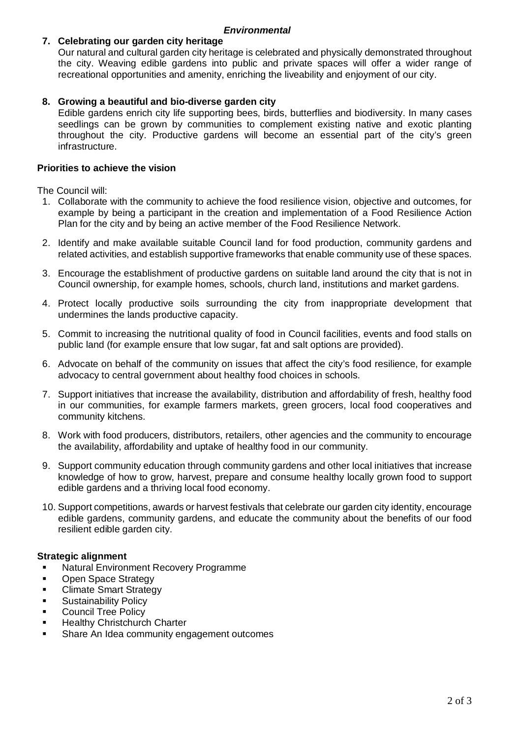## *Environmental*

# **7. Celebrating our garden city heritage**

Our natural and cultural garden city heritage is celebrated and physically demonstrated throughout the city. Weaving edible gardens into public and private spaces will offer a wider range of recreational opportunities and amenity, enriching the liveability and enjoyment of our city.

# **8. Growing a beautiful and bio-diverse garden city**

Edible gardens enrich city life supporting bees, birds, butterflies and biodiversity. In many cases seedlings can be grown by communities to complement existing native and exotic planting throughout the city. Productive gardens will become an essential part of the city's green infrastructure.

# **Priorities to achieve the vision**

The Council will:

- 1. Collaborate with the community to achieve the food resilience vision, objective and outcomes, for example by being a participant in the creation and implementation of a Food Resilience Action Plan for the city and by being an active member of the Food Resilience Network.
- 2. Identify and make available suitable Council land for food production, community gardens and related activities, and establish supportive frameworks that enable community use of these spaces.
- 3. Encourage the establishment of productive gardens on suitable land around the city that is not in Council ownership, for example homes, schools, church land, institutions and market gardens.
- 4. Protect locally productive soils surrounding the city from inappropriate development that undermines the lands productive capacity.
- 5. Commit to increasing the nutritional quality of food in Council facilities, events and food stalls on public land (for example ensure that low sugar, fat and salt options are provided).
- 6. Advocate on behalf of the community on issues that affect the city's food resilience, for example advocacy to central government about healthy food choices in schools.
- 7. Support initiatives that increase the availability, distribution and affordability of fresh, healthy food in our communities, for example farmers markets, green grocers, local food cooperatives and community kitchens.
- 8. Work with food producers, distributors, retailers, other agencies and the community to encourage the availability, affordability and uptake of healthy food in our community.
- 9. Support community education through community gardens and other local initiatives that increase knowledge of how to grow, harvest, prepare and consume healthy locally grown food to support edible gardens and a thriving local food economy.
- 10. Support competitions, awards or harvest festivals that celebrate our garden city identity, encourage edible gardens, community gardens, and educate the community about the benefits of our food resilient edible garden city.

# **Strategic alignment**

- **Natural Environment Recovery Programme**
- Open Space Strategy
- § Climate Smart Strategy
- § Sustainability Policy
- **Council Tree Policy**
- § Healthy Christchurch Charter
- § Share An Idea community engagement outcomes